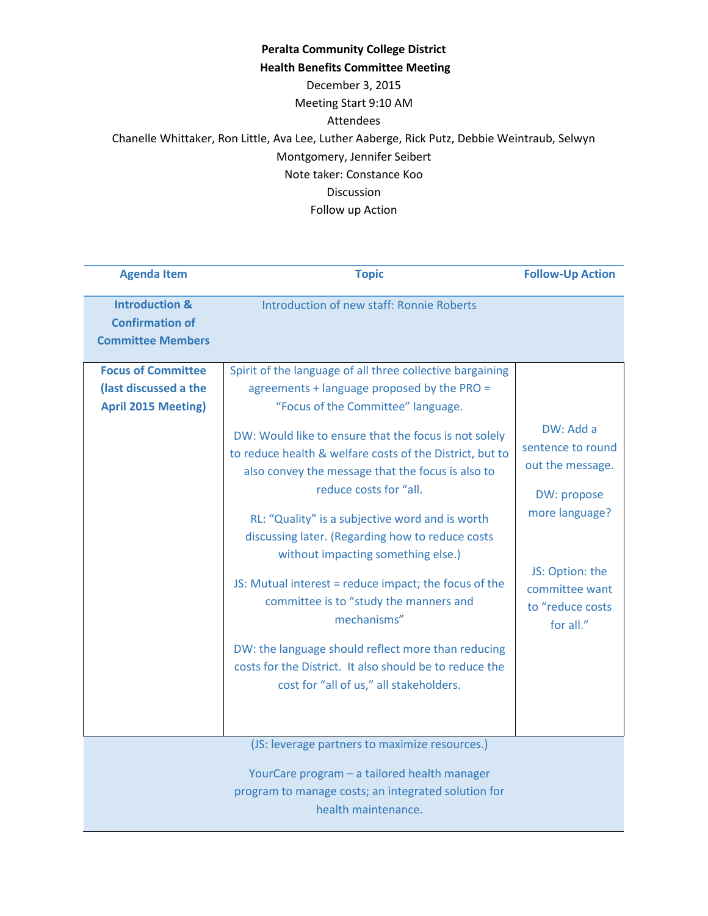| <b>Agenda Item</b>                                                              | <b>Topic</b>                                                                                                                                                                                           | <b>Follow-Up Action</b>                           |
|---------------------------------------------------------------------------------|--------------------------------------------------------------------------------------------------------------------------------------------------------------------------------------------------------|---------------------------------------------------|
| <b>Introduction &amp;</b><br><b>Confirmation of</b><br><b>Committee Members</b> | Introduction of new staff: Ronnie Roberts                                                                                                                                                              |                                                   |
| (last discussed a the<br><b>April 2015 Meeting)</b>                             | agreements + language proposed by the PRO =<br>"Focus of the Committee" language.<br>DW: Would like to ensure that the focus is not solely<br>to reduce health & welfare costs of the District, but to | DW: Add a<br>sentence to round                    |
|                                                                                 | also convey the message that the focus is also to<br>reduce costs for "all.                                                                                                                            | out the message.<br>DW: propose<br>more language? |
|                                                                                 | RL: "Quality" is a subjective word and is worth<br>discussing later. (Regarding how to reduce costs<br>without impacting something else.)                                                              | JS: Option: the                                   |
|                                                                                 | JS: Mutual interest = reduce impact; the focus of the<br>committee is to "study the manners and<br>mechanisms"                                                                                         | committee want<br>to "reduce costs<br>for all."   |
|                                                                                 | DW: the language should reflect more than reducing<br>costs for the District. It also should be to reduce the<br>cost for "all of us," all stakeholders.                                               |                                                   |
|                                                                                 | (JS: leverage partners to maximize resources.)                                                                                                                                                         |                                                   |
|                                                                                 | YourCare program - a tailored health manager<br>program to manage costs; an integrated solution for<br>health maintenance.                                                                             |                                                   |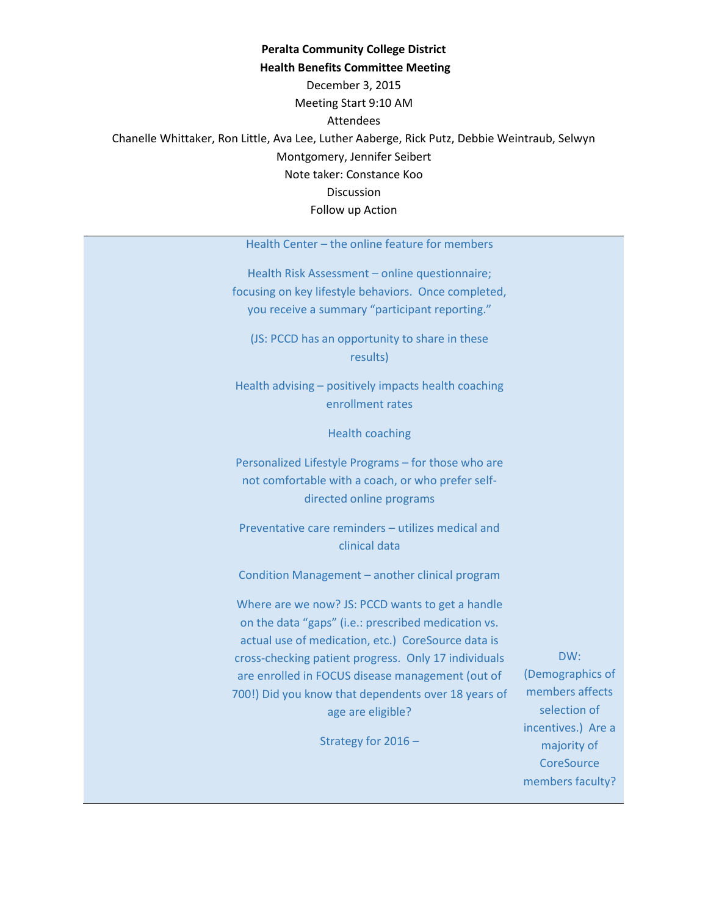Health Center – the online feature for members

Health Risk Assessment – online questionnaire; focusing on key lifestyle behaviors. Once completed, you receive a summary "participant reporting."

(JS: PCCD has an opportunity to share in these results)

Health advising – positively impacts health coaching enrollment rates

Health coaching

Personalized Lifestyle Programs – for those who are not comfortable with a coach, or who prefer selfdirected online programs

Preventative care reminders – utilizes medical and clinical data

Condition Management – another clinical program

Where are we now? JS: PCCD wants to get a handle on the data "gaps" (i.e.: prescribed medication vs. actual use of medication, etc.) CoreSource data is cross-checking patient progress. Only 17 individuals are enrolled in FOCUS disease management (out of 700!) Did you know that dependents over 18 years of age are eligible?

Strategy for 2016 –

DW: (Demographics of members affects selection of incentives.) Are a majority of **CoreSource** members faculty?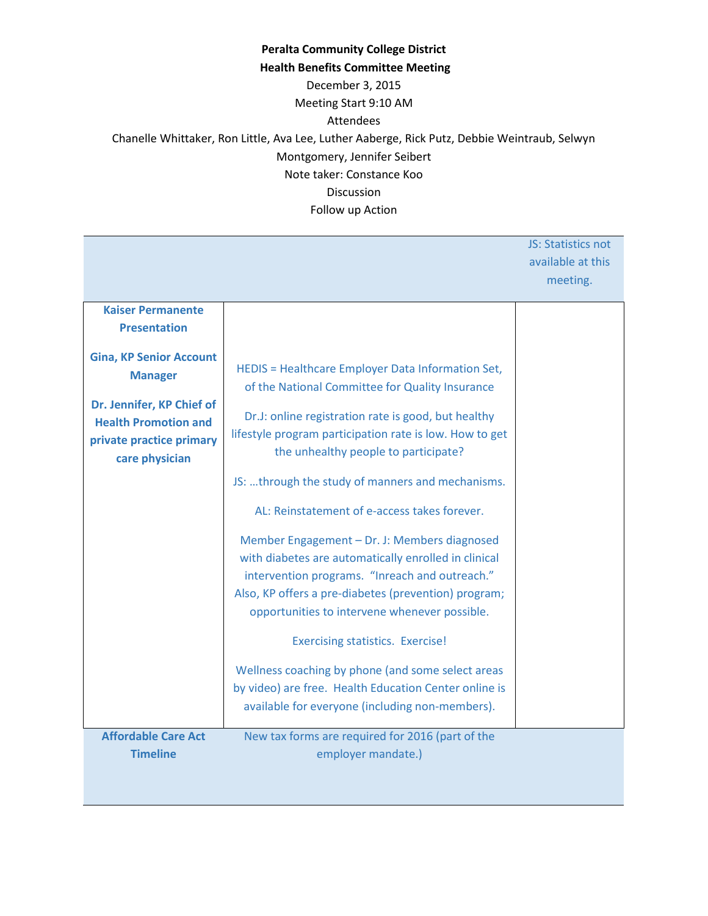|                                |                                                         | JS: Statistics not<br>available at this |
|--------------------------------|---------------------------------------------------------|-----------------------------------------|
|                                |                                                         | meeting.                                |
| <b>Kaiser Permanente</b>       |                                                         |                                         |
| <b>Presentation</b>            |                                                         |                                         |
| <b>Gina, KP Senior Account</b> |                                                         |                                         |
| <b>Manager</b>                 | HEDIS = Healthcare Employer Data Information Set,       |                                         |
| Dr. Jennifer, KP Chief of      | of the National Committee for Quality Insurance         |                                         |
| <b>Health Promotion and</b>    | Dr.J: online registration rate is good, but healthy     |                                         |
| private practice primary       | lifestyle program participation rate is low. How to get |                                         |
| care physician                 | the unhealthy people to participate?                    |                                         |
|                                | JS: through the study of manners and mechanisms.        |                                         |
|                                | AL: Reinstatement of e-access takes forever.            |                                         |
|                                | Member Engagement - Dr. J: Members diagnosed            |                                         |
|                                | with diabetes are automatically enrolled in clinical    |                                         |
|                                | intervention programs. "Inreach and outreach."          |                                         |
|                                | Also, KP offers a pre-diabetes (prevention) program;    |                                         |
|                                | opportunities to intervene whenever possible.           |                                         |
|                                | <b>Exercising statistics. Exercise!</b>                 |                                         |
|                                | Wellness coaching by phone (and some select areas       |                                         |
|                                | by video) are free. Health Education Center online is   |                                         |
|                                | available for everyone (including non-members).         |                                         |
| <b>Affordable Care Act</b>     | New tax forms are required for 2016 (part of the        |                                         |
| <b>Timeline</b>                | employer mandate.)                                      |                                         |
|                                |                                                         |                                         |
|                                |                                                         |                                         |